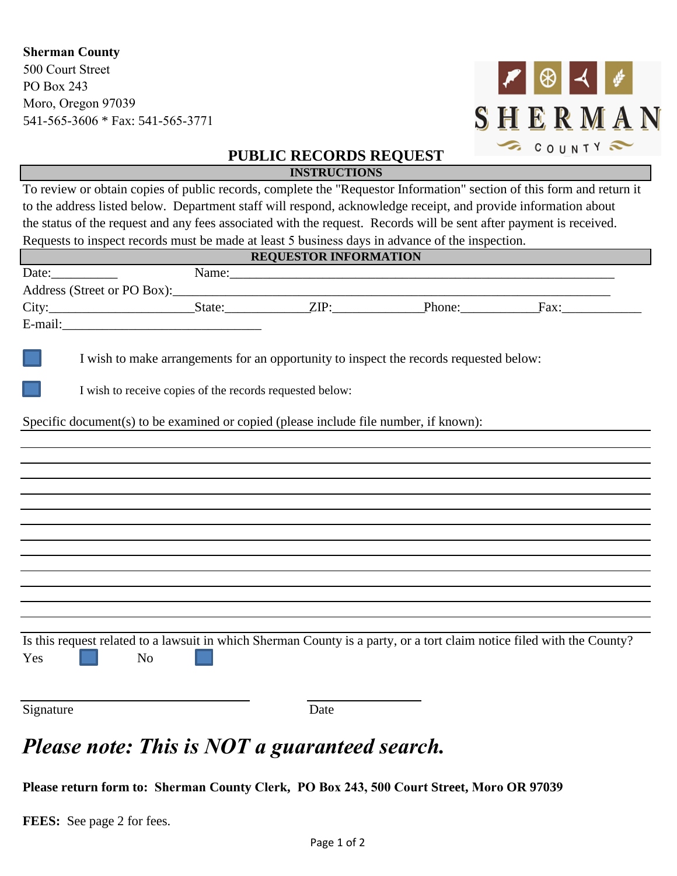## **Sherman County**

500 Court Street PO Box 243 Moro, Oregon 97039 541-565-3606 \* Fax: 541-565-3771



## **PUBLIC RECORDS REQUEST INSTRUCTIONS**

To review or obtain copies of public records, complete the "Requestor Information" section of this form and return it to the address listed below. Department staff will respond, acknowledge receipt, and provide information about the status of the request and any fees associated with the request. Records will be sent after payment is received. Requests to inspect records must be made at least 5 business days in advance of the inspection.

| <b>REQUESTOR INFORMATION</b>                                                          |                                                                                        |  |      |       |                                                                                                                        |
|---------------------------------------------------------------------------------------|----------------------------------------------------------------------------------------|--|------|-------|------------------------------------------------------------------------------------------------------------------------|
|                                                                                       |                                                                                        |  |      | Name: |                                                                                                                        |
|                                                                                       |                                                                                        |  |      |       |                                                                                                                        |
|                                                                                       |                                                                                        |  |      |       |                                                                                                                        |
|                                                                                       |                                                                                        |  |      |       |                                                                                                                        |
|                                                                                       |                                                                                        |  |      |       |                                                                                                                        |
|                                                                                       | I wish to make arrangements for an opportunity to inspect the records requested below: |  |      |       |                                                                                                                        |
| I wish to receive copies of the records requested below:                              |                                                                                        |  |      |       |                                                                                                                        |
| Specific document(s) to be examined or copied (please include file number, if known): |                                                                                        |  |      |       |                                                                                                                        |
|                                                                                       |                                                                                        |  |      |       |                                                                                                                        |
|                                                                                       |                                                                                        |  |      |       |                                                                                                                        |
|                                                                                       |                                                                                        |  |      |       |                                                                                                                        |
|                                                                                       |                                                                                        |  |      |       |                                                                                                                        |
|                                                                                       |                                                                                        |  |      |       |                                                                                                                        |
|                                                                                       |                                                                                        |  |      |       |                                                                                                                        |
|                                                                                       |                                                                                        |  |      |       |                                                                                                                        |
|                                                                                       |                                                                                        |  |      |       |                                                                                                                        |
|                                                                                       |                                                                                        |  |      |       |                                                                                                                        |
|                                                                                       |                                                                                        |  |      |       |                                                                                                                        |
|                                                                                       |                                                                                        |  |      |       |                                                                                                                        |
| Yes                                                                                   | N <sub>o</sub>                                                                         |  |      |       | Is this request related to a lawsuit in which Sherman County is a party, or a tort claim notice filed with the County? |
| Signature                                                                             |                                                                                        |  | Date |       |                                                                                                                        |

## *Please note: This is NOT a guaranteed search.*

**Please return form to: Sherman County Clerk, PO Box 243, 500 Court Street, Moro OR 97039**

**FEES:** See page 2 for fees.